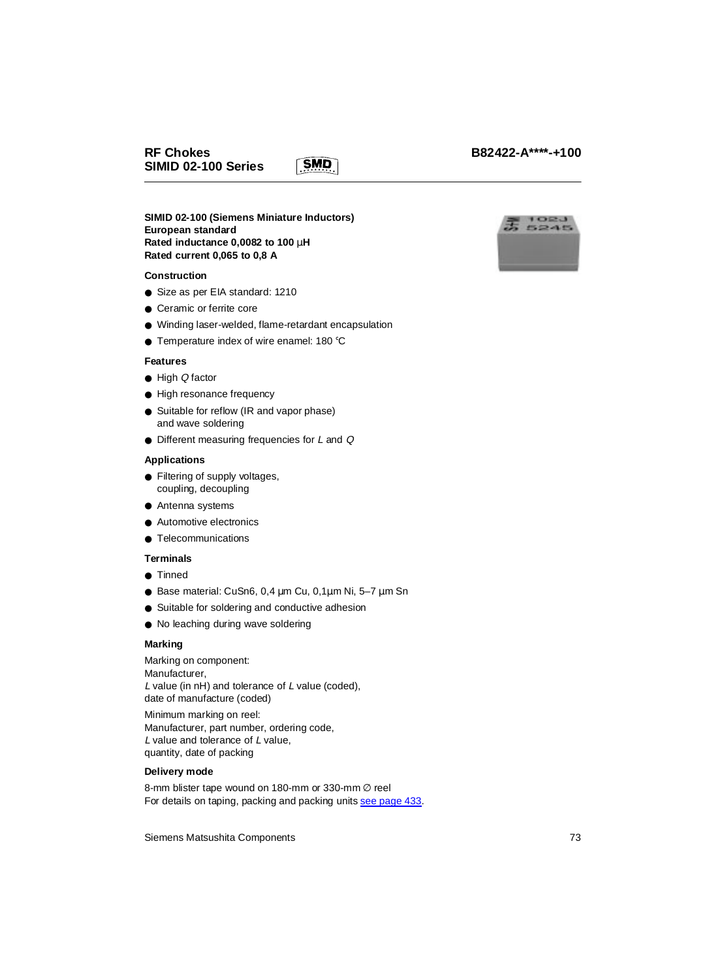**SIMID 02-100 (Siemens Miniature Inductors) European standard Rated inductance 0,0082 to 100** µ**H Rated current 0,065 to 0,8 A**

### **Construction**

- Size as per EIA standard: 1210
- Ceramic or ferrite core
- Winding laser-welded, flame-retardant encapsulation

**SMD** 

● Temperature index of wire enamel: 180 °C

#### **Features**

- High Q factor
- High resonance frequency
- Suitable for reflow (IR and vapor phase) and wave soldering
- Different measuring frequencies for *L* and *Q*

#### **Applications**

- Filtering of supply voltages, coupling, decoupling
- Antenna systems
- Automotive electronics
- Telecommunications

### **Terminals**

- Tinned
- Base material: CuSn6, 0,4  $\mu$ m Cu, 0,1 $\mu$ m Ni, 5-7  $\mu$ m Sn
- Suitable for soldering and conductive adhesion
- No leaching during wave soldering

### **Marking**

Marking on component: Manufacturer, L value (in nH) and tolerance of L value (coded), date of manufacture (coded)

Minimum marking on reel: Manufacturer, part number, ordering code, L value and tolerance of L value, quantity, date of packing

### **Delivery mode**

8-mm blister tape wound on 180-mm or 330-mm ∅ reel For details on taping, packing and packing units see page 433.

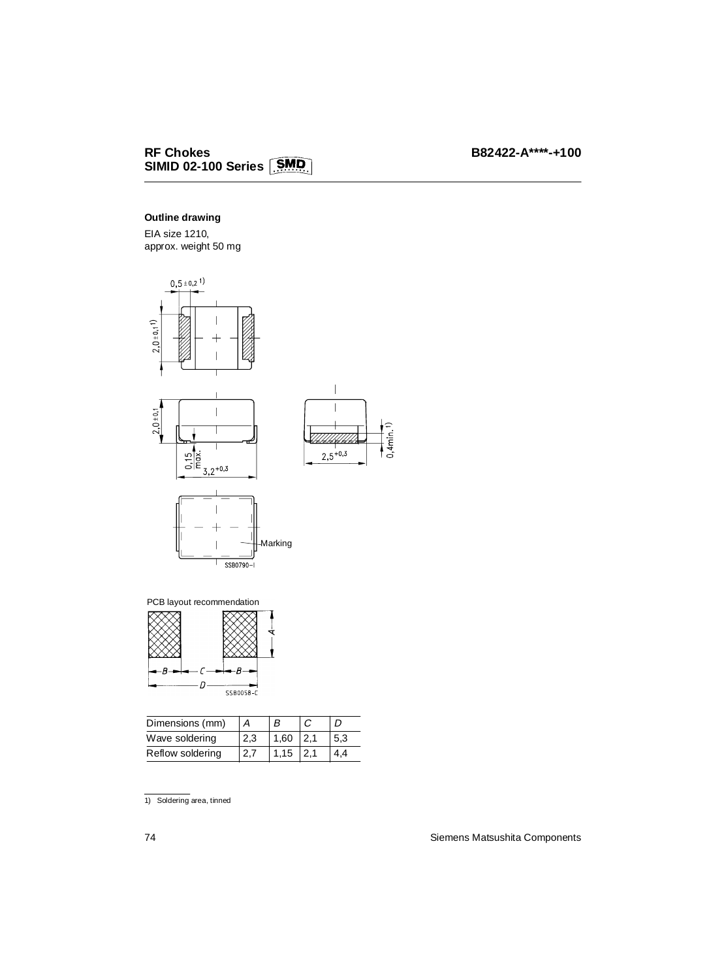### **Outline drawing**

EIA size 1210, approx. weight 50 mg



B -B  $\sqrt{2}$  $D$ SSB0058-C

| Dimensions (mm)  |     |      |     |
|------------------|-----|------|-----|
| Wave soldering   | 2,3 | 1,60 | 5,3 |
| Reflow soldering |     | 1.15 |     |

1) Soldering area, tinned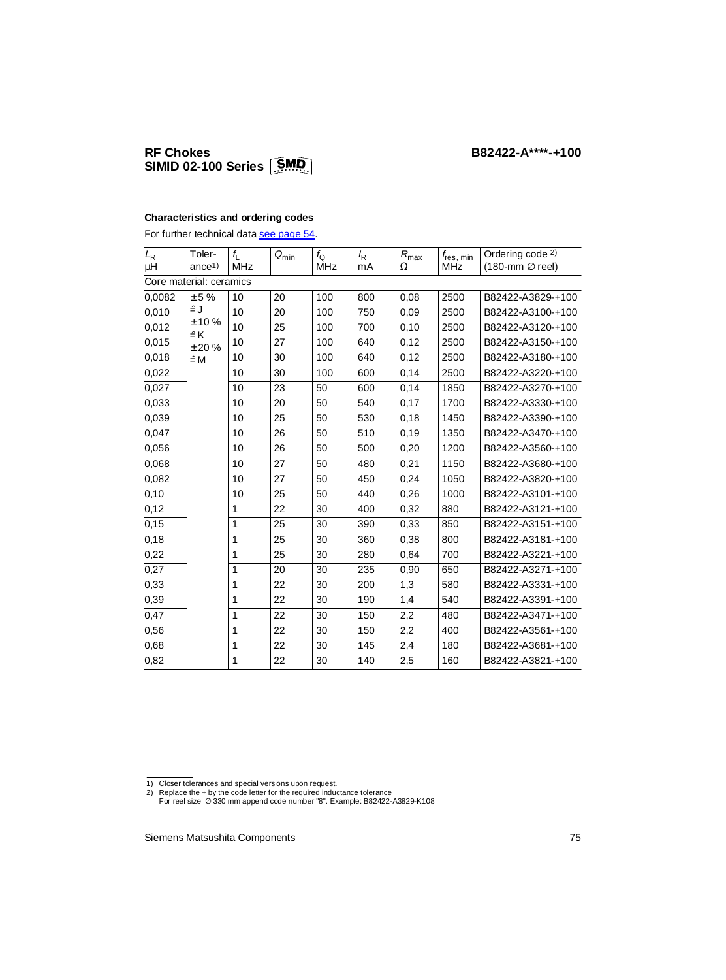# **RF Chokes B82422-A\*\*\*\*-+100 SIMID 02-100 Series**

### **Characteristics and ordering codes**

For further technical data see page 54.

| $L_{\mathsf{R}}$        | Toler-             | $f_{\lfloor}$ | $Q_{\rm min}$ | $f_{\rm Q}$ | $I_{\mathsf{R}}$ | $R_{\rm max}$ | $f_{\sf res, min}$ | Ordering code 2)           |
|-------------------------|--------------------|---------------|---------------|-------------|------------------|---------------|--------------------|----------------------------|
| μH                      | ance <sup>1</sup>  | <b>MHz</b>    |               | MHz         | mA               | Ω             | <b>MHz</b>         | $(180$ -mm $\oslash$ reel) |
| Core material: ceramics |                    |               |               |             |                  |               |                    |                            |
| 0,0082                  | ± 5%               | 10            | 20            | 100         | 800              | 0,08          | 2500               | B82422-A3829-+100          |
| 0,010                   | ≟J                 | 10            | 20            | 100         | 750              | 0,09          | 2500               | B82422-A3100-+100          |
| 0,012                   | ±10%<br>$\hat{=}K$ | 10            | 25            | 100         | 700              | 0,10          | 2500               | B82422-A3120-+100          |
| 0,015                   | ± 20%              | 10            | 27            | 100         | 640              | 0,12          | 2500               | B82422-A3150-+100          |
| 0,018                   | $\hat{=}$ M        | 10            | 30            | 100         | 640              | 0,12          | 2500               | B82422-A3180-+100          |
| 0,022                   |                    | 10            | 30            | 100         | 600              | 0,14          | 2500               | B82422-A3220-+100          |
| 0,027                   |                    | 10            | 23            | 50          | 600              | 0,14          | 1850               | B82422-A3270-+100          |
| 0,033                   |                    | 10            | 20            | 50          | 540              | 0.17          | 1700               | B82422-A3330-+100          |
| 0,039                   |                    | 10            | 25            | 50          | 530              | 0,18          | 1450               | B82422-A3390-+100          |
| 0,047                   |                    | 10            | 26            | 50          | 510              | 0,19          | 1350               | B82422-A3470-+100          |
| 0,056                   |                    | 10            | 26            | 50          | 500              | 0,20          | 1200               | B82422-A3560-+100          |
| 0,068                   |                    | 10            | 27            | 50          | 480              | 0,21          | 1150               | B82422-A3680-+100          |
| 0,082                   |                    | 10            | 27            | 50          | 450              | 0,24          | 1050               | B82422-A3820-+100          |
| 0,10                    |                    | 10            | 25            | 50          | 440              | 0,26          | 1000               | B82422-A3101-+100          |
| 0,12                    |                    | 1             | 22            | 30          | 400              | 0,32          | 880                | B82422-A3121-+100          |
| 0,15                    |                    | $\mathbf{1}$  | 25            | 30          | 390              | 0.33          | 850                | B82422-A3151-+100          |
| 0,18                    |                    | 1             | 25            | 30          | 360              | 0,38          | 800                | B82422-A3181-+100          |
| 0,22                    |                    | 1             | 25            | 30          | 280              | 0,64          | 700                | B82422-A3221-+100          |
| 0,27                    |                    | 1             | 20            | 30          | 235              | 0,90          | 650                | B82422-A3271-+100          |
| 0,33                    |                    | 1             | 22            | 30          | 200              | 1,3           | 580                | B82422-A3331-+100          |
| 0,39                    |                    | 1             | 22            | 30          | 190              | 1,4           | 540                | B82422-A3391-+100          |
| 0,47                    |                    | 1             | 22            | 30          | 150              | 2,2           | 480                | B82422-A3471-+100          |
| 0,56                    |                    | 1             | 22            | 30          | 150              | 2,2           | 400                | B82422-A3561-+100          |
| 0,68                    |                    | 1             | 22            | 30          | 145              | 2,4           | 180                | B82422-A3681-+100          |
| 0,82                    |                    | 1             | 22            | 30          | 140              | 2,5           | 160                | B82422-A3821-+100          |

<sup>1)</sup> Closer tolerances and special versions upon request.<br>2) Replace the + by the code letter for the required inductance tolerance<br>For reel size ∅ 330 mm append code number "8". Example: B82422-A3829-K108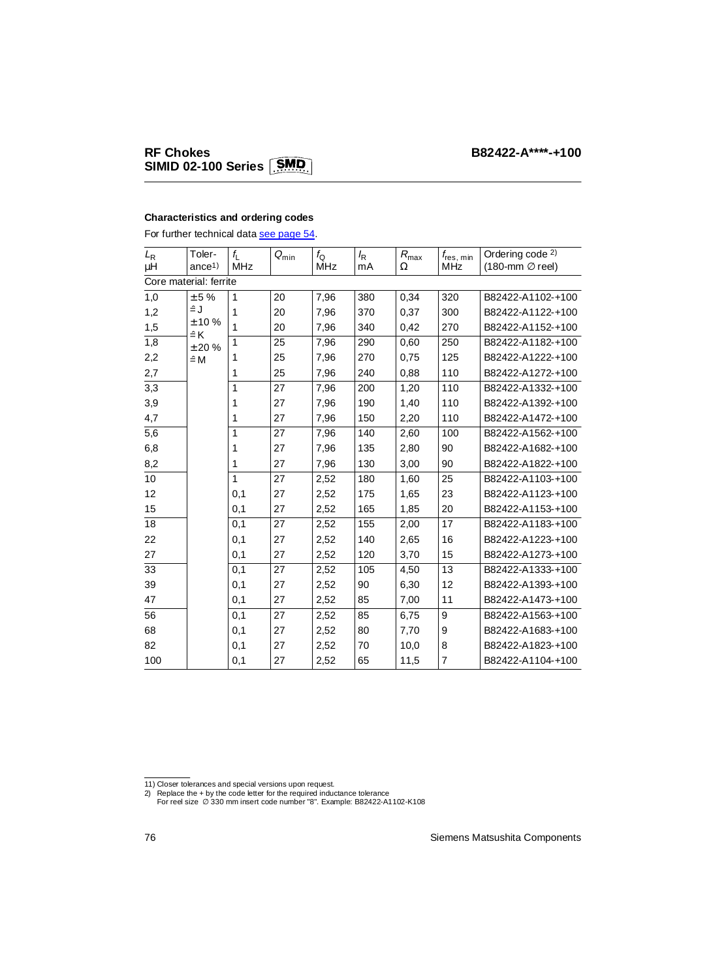## **RF Chokes SIMID 02-100 Series**

### **Characteristics and ordering codes**

For further technical data see page 54.

| $L_{\mathsf{R}}$       | Toler-              | $f_{\lfloor}$ | $Q_{\text{min}}$ | $f_{\rm Q}$ | $I_{\mathsf{R}}$ | $R_{\rm max}$ | $f_{\mathsf{res, min}}$ | Ordering code <sup>2)</sup> |
|------------------------|---------------------|---------------|------------------|-------------|------------------|---------------|-------------------------|-----------------------------|
| μH                     | ance <sup>1</sup>   | MHz           |                  | <b>MHz</b>  | mA               | Ω             | MHz                     | $(180$ -mm $\oslash$ reel)  |
| Core material: ferrite |                     |               |                  |             |                  |               |                         |                             |
| 1,0                    | ± 5%                | 1             | 20               | 7,96        | 380              | 0,34          | 320                     | B82422-A1102-+100           |
| 1,2                    | ≟J                  | 1             | 20               | 7,96        | 370              | 0,37          | 300                     | B82422-A1122-+100           |
| 1,5                    | ± 10%<br>$\hat{=}K$ | 1             | 20               | 7,96        | 340              | 0,42          | 270                     | B82422-A1152-+100           |
| 1,8                    | ±20%                | $\mathbf{1}$  | 25               | 7,96        | 290              | 0,60          | 250                     | B82422-A1182-+100           |
| 2,2                    | $\hat{=}$ M         | 1             | 25               | 7,96        | 270              | 0,75          | 125                     | B82422-A1222-+100           |
| 2,7                    |                     | 1             | 25               | 7,96        | 240              | 0,88          | 110                     | B82422-A1272-+100           |
| 3,3                    |                     | 1             | 27               | 7,96        | 200              | 1,20          | 110                     | B82422-A1332-+100           |
| 3,9                    |                     | 1             | 27               | 7,96        | 190              | 1,40          | 110                     | B82422-A1392-+100           |
| 4,7                    |                     | 1             | 27               | 7,96        | 150              | 2,20          | 110                     | B82422-A1472-+100           |
| 5,6                    |                     | 1             | 27               | 7,96        | 140              | 2,60          | 100                     | B82422-A1562-+100           |
| 6,8                    |                     | 1             | 27               | 7,96        | 135              | 2,80          | 90                      | B82422-A1682-+100           |
| 8,2                    |                     | 1             | 27               | 7,96        | 130              | 3,00          | 90                      | B82422-A1822-+100           |
| 10                     |                     | 1             | 27               | 2,52        | 180              | 1,60          | 25                      | B82422-A1103-+100           |
| 12                     |                     | 0,1           | 27               | 2,52        | 175              | 1,65          | 23                      | B82422-A1123-+100           |
| 15                     |                     | 0,1           | 27               | 2,52        | 165              | 1,85          | 20                      | B82422-A1153-+100           |
| 18                     |                     | 0,1           | 27               | 2,52        | 155              | 2,00          | 17                      | B82422-A1183-+100           |
| 22                     |                     | 0,1           | 27               | 2,52        | 140              | 2,65          | 16                      | B82422-A1223-+100           |
| 27                     |                     | 0,1           | 27               | 2,52        | 120              | 3,70          | 15                      | B82422-A1273-+100           |
| 33                     |                     | 0,1           | 27               | 2,52        | 105              | 4,50          | 13                      | B82422-A1333-+100           |
| 39                     |                     | 0,1           | 27               | 2,52        | 90               | 6,30          | 12                      | B82422-A1393-+100           |
| 47                     |                     | 0,1           | 27               | 2,52        | 85               | 7,00          | 11                      | B82422-A1473-+100           |
| 56                     |                     | 0,1           | 27               | 2,52        | 85               | 6,75          | 9                       | B82422-A1563-+100           |
| 68                     |                     | 0,1           | 27               | 2,52        | 80               | 7,70          | 9                       | B82422-A1683-+100           |
| 82                     |                     | 0,1           | 27               | 2,52        | 70               | 10,0          | 8                       | B82422-A1823-+100           |
| 100                    |                     | 0,1           | 27               | 2,52        | 65               | 11,5          | 7                       | B82422-A1104-+100           |

<sup>11)</sup> Closer tolerances and special versions upon request.<br>2) Replace the + by the code letter for the required inductance tolerance<br>For reel size ∅ 330 mm insert code number "8". Example: B82422-A1102-K108